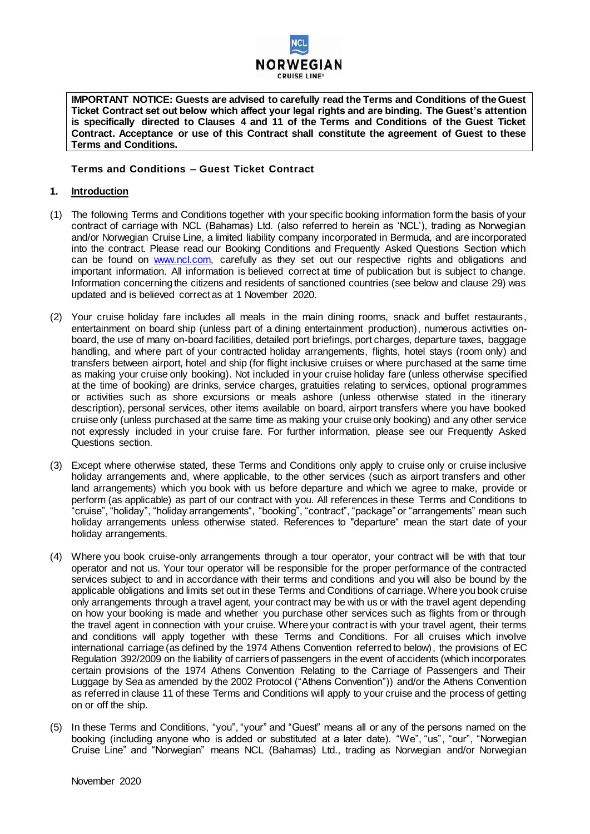

**IMPORTANT NOTICE: Guests are advised to carefully read the Terms and Conditions of the Guest Ticket Contract set out below which affect your legal rights and are binding. The Guest's attention is specifically directed to Clauses 4 and 11 of the Terms and Conditions of the Guest Ticket Contract. Acceptance or use of this Contract shall constitute the agreement of Guest to these Terms and Conditions.**

# **Terms and Conditions – Guest Ticket Contract**

## **1. Introduction**

- (1) The following Terms and Conditions together with your specific booking information form the basis of your contract of carriage with NCL (Bahamas) Ltd. (also referred to herein as 'NCL'), trading as Norwegian and/or Norwegian Cruise Line, a limited liability company incorporated in Bermuda, and are incorporated into the contract. Please read our Booking Conditions and Frequently Asked Questions Section which can be found on [www.ncl.com,](http://www.ncl.com/) carefully as they set out our respective rights and obligations and important information. All information is believed correct at time of publication but is subject to change. Information concerning the citizens and residents of sanctioned countries (see below and clause 29) was updated and is believed correct as at 1 November 2020.
- (2) Your cruise holiday fare includes all meals in the main dining rooms, snack and buffet restaurants, entertainment on board ship (unless part of a dining entertainment production), numerous activities onboard, the use of many on-board facilities, detailed port briefings, port charges, departure taxes, baggage handling, and where part of your contracted holiday arrangements, flights, hotel stays (room only) and transfers between airport, hotel and ship (for flight inclusive cruises or where purchased at the same time as making your cruise only booking). Not included in your cruise holiday fare (unless otherwise specified at the time of booking) are drinks, service charges, gratuities relating to services, optional programmes or activities such as shore excursions or meals ashore (unless otherwise stated in the itinerary description), personal services, other items available on board, airport transfers where you have booked cruise only (unless purchased at the same time as making your cruise only booking) and any other service not expressly included in your cruise fare. For further information, please see our Frequently Asked Questions section.
- (3) Except where otherwise stated, these Terms and Conditions only apply to cruise only or cruise inclusive holiday arrangements and, where applicable, to the other services (such as airport transfers and other land arrangements) which you book with us before departure and which we agree to make, provide or perform (as applicable) as part of our contract with you. All references in these Terms and Conditions to "cruise", "holiday", "holiday arrangements", "booking", "contract", "package" or "arrangements" mean such holiday arrangements unless otherwise stated. References to "departure" mean the start date of your holiday arrangements.
- (4) Where you book cruise-only arrangements through a tour operator, your contract will be with that tour operator and not us. Your tour operator will be responsible for the proper performance of the contracted services subject to and in accordance with their terms and conditions and you will also be bound by the applicable obligations and limits set out in these Terms and Conditions of carriage. Where you book cruise only arrangements through a travel agent, your contract may be with us or with the travel agent depending on how your booking is made and whether you purchase other services such as flights from or through the travel agent in connection with your cruise. Where your contract is with your travel agent, their terms and conditions will apply together with these Terms and Conditions. For all cruises which involve international carriage (as defined by the 1974 Athens Convention referred to below), the provisions of EC Regulation 392/2009 on the liability of carriers of passengers in the event of accidents (which incorporates certain provisions of the 1974 Athens Convention Relating to the Carriage of Passengers and Their Luggage by Sea as amended by the 2002 Protocol ("Athens Convention")) and/or the Athens Convention as referred in clause 11 of these Terms and Conditions will apply to your cruise and the process of getting on or off the ship.
- (5) In these Terms and Conditions, "you", "your" and "Guest" means all or any of the persons named on the booking (including anyone who is added or substituted at a later date). "We", "us", "our", "Norwegian Cruise Line" and "Norwegian" means NCL (Bahamas) Ltd., trading as Norwegian and/or Norwegian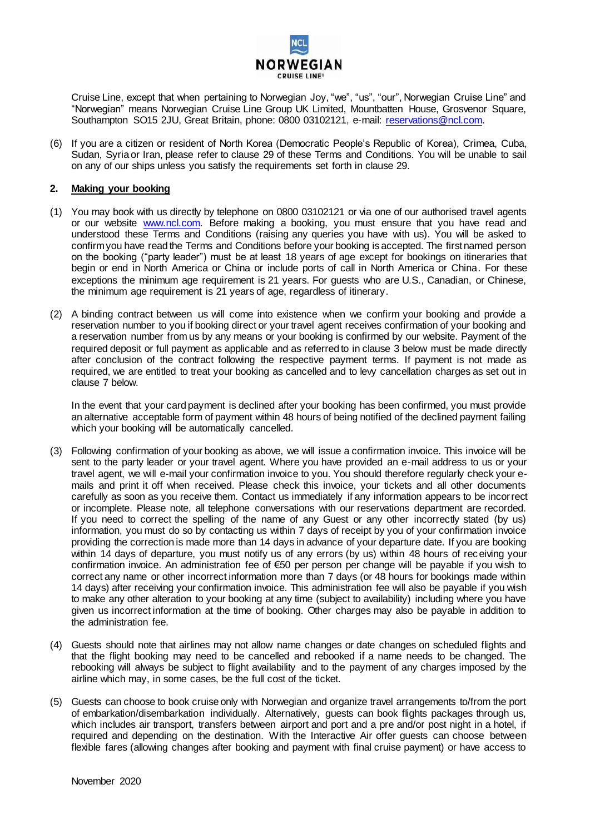

Cruise Line, except that when pertaining to Norwegian Joy, "we", "us", "our", Norwegian Cruise Line" and "Norwegian" means Norwegian Cruise Line Group UK Limited, Mountbatten House, Grosvenor Square, Southampton SO15 2JU, Great Britain, phone: 0800 03102121, e-mail: [reservations@ncl.com.](mailto:reservations@ncl.com)

(6) If you are a citizen or resident of North Korea (Democratic People's Republic of Korea), Crimea, Cuba, Sudan, Syria or Iran, please refer to clause 29 of these Terms and Conditions. You will be unable to sail on any of our ships unless you satisfy the requirements set forth in clause 29.

## **2. Making your booking**

- (1) You may book with us directly by telephone on 0800 03102121 or via one of our authorised travel agents or our website [www.ncl.com.](http://www.ncl.com/) Before making a booking, you must ensure that you have read and understood these Terms and Conditions (raising any queries you have with us). You will be asked to confirm you have read the Terms and Conditions before your booking is accepted. The first named person on the booking ("party leader") must be at least 18 years of age except for bookings on itineraries that begin or end in North America or China or include ports of call in North America or China. For these exceptions the minimum age requirement is 21 years. For guests who are U.S., Canadian, or Chinese, the minimum age requirement is 21 years of age, regardless of itinerary.
- (2) A binding contract between us will come into existence when we confirm your booking and provide a reservation number to you if booking direct or your travel agent receives confirmation of your booking and a reservation number from us by any means or your booking is confirmed by our website. Payment of the required deposit or full payment as applicable and as referred to in clause 3 below must be made directly after conclusion of the contract following the respective payment terms. If payment is not made as required, we are entitled to treat your booking as cancelled and to levy cancellation charges as set out in clause 7 below.

In the event that your card payment is declined after your booking has been confirmed, you must provide an alternative acceptable form of payment within 48 hours of being notified of the declined payment failing which your booking will be automatically cancelled.

- (3) Following confirmation of your booking as above, we will issue a confirmation invoice. This invoice will be sent to the party leader or your travel agent. Where you have provided an e-mail address to us or your travel agent, we will e-mail your confirmation invoice to you. You should therefore regularly check your emails and print it off when received. Please check this invoice, your tickets and all other documents carefully as soon as you receive them. Contact us immediately if any information appears to be incorrect or incomplete. Please note, all telephone conversations with our reservations department are recorded. If you need to correct the spelling of the name of any Guest or any other incorrectly stated (by us) information, you must do so by contacting us within 7 days of receipt by you of your confirmation invoice providing the correction is made more than 14 days in advance of your departure date. If you are booking within 14 days of departure, you must notify us of any errors (by us) within 48 hours of receiving your confirmation invoice. An administration fee of €50 per person per change will be payable if you wish to correct any name or other incorrect information more than 7 days (or 48 hours for bookings made within 14 days) after receiving your confirmation invoice. This administration fee will also be payable if you wish to make any other alteration to your booking at any time (subject to availability) including where you have given us incorrect information at the time of booking. Other charges may also be payable in addition to the administration fee.
- (4) Guests should note that airlines may not allow name changes or date changes on scheduled flights and that the flight booking may need to be cancelled and rebooked if a name needs to be changed. The rebooking will always be subject to flight availability and to the payment of any charges imposed by the airline which may, in some cases, be the full cost of the ticket.
- (5) Guests can choose to book cruise only with Norwegian and organize travel arrangements to/from the port of embarkation/disembarkation individually. Alternatively, guests can book flights packages through us, which includes air transport, transfers between airport and port and a pre and/or post night in a hotel, if required and depending on the destination. With the Interactive Air offer guests can choose between flexible fares (allowing changes after booking and payment with final cruise payment) or have access to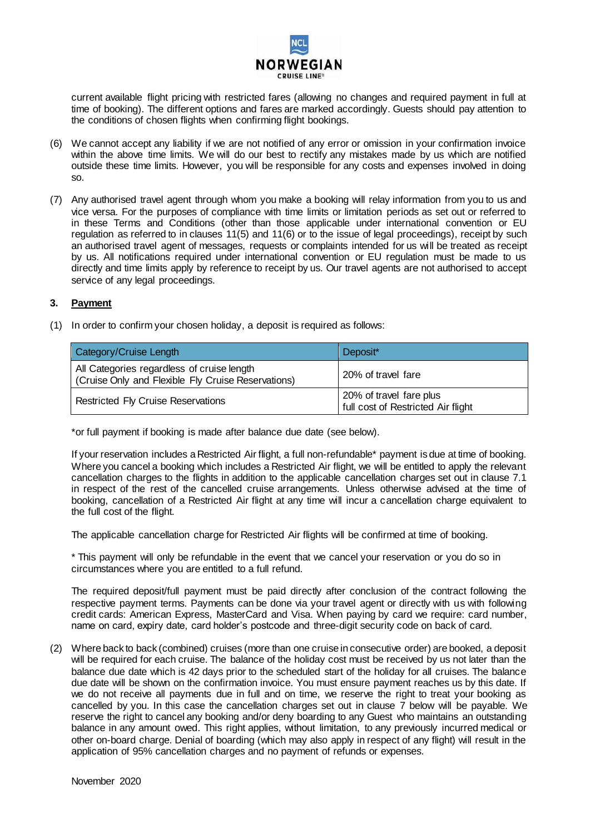

current available flight pricing with restricted fares (allowing no changes and required payment in full at time of booking). The different options and fares are marked accordingly. Guests should pay attention to the conditions of chosen flights when confirming flight bookings.

- (6) We cannot accept any liability if we are not notified of any error or omission in your confirmation invoice within the above time limits. We will do our best to rectify any mistakes made by us which are notified outside these time limits. However, you will be responsible for any costs and expenses involved in doing so.
- (7) Any authorised travel agent through whom you make a booking will relay information from you to us and vice versa. For the purposes of compliance with time limits or limitation periods as set out or referred to in these Terms and Conditions (other than those applicable under international convention or EU regulation as referred to in clauses 11(5) and 11(6) or to the issue of legal proceedings), receipt by such an authorised travel agent of messages, requests or complaints intended for us will be treated as receipt by us. All notifications required under international convention or EU regulation must be made to us directly and time limits apply by reference to receipt by us. Our travel agents are not authorised to accept service of any legal proceedings.

## **3. Payment**

(1) In order to confirm your chosen holiday, a deposit is required as follows:

| Category/Cruise Length                                                                           | Deposit*                                                      |
|--------------------------------------------------------------------------------------------------|---------------------------------------------------------------|
| All Categories regardless of cruise length<br>(Cruise Only and Flexible Fly Cruise Reservations) | 20% of travel fare                                            |
| <b>Restricted Fly Cruise Reservations</b>                                                        | 20% of travel fare plus<br>full cost of Restricted Air flight |

\*or full payment if booking is made after balance due date (see below).

If your reservation includes a Restricted Air flight, a full non-refundable\* payment is due at time of booking. Where you cancel a booking which includes a Restricted Air flight, we will be entitled to apply the relevant cancellation charges to the flights in addition to the applicable cancellation charges set out in clause 7.1 in respect of the rest of the cancelled cruise arrangements. Unless otherwise advised at the time of booking, cancellation of a Restricted Air flight at any time will incur a cancellation charge equivalent to the full cost of the flight.

The applicable cancellation charge for Restricted Air flights will be confirmed at time of booking.

\* This payment will only be refundable in the event that we cancel your reservation or you do so in circumstances where you are entitled to a full refund.

The required deposit/full payment must be paid directly after conclusion of the contract following the respective payment terms. Payments can be done via your travel agent or directly with us with following credit cards: American Express, MasterCard and Visa. When paying by card we require: card number, name on card, expiry date, card holder's postcode and three-digit security code on back of card.

(2) Where back to back (combined) cruises (more than one cruise in consecutive order) are booked, a deposit will be required for each cruise. The balance of the holiday cost must be received by us not later than the balance due date which is 42 days prior to the scheduled start of the holiday for all cruises. The balance due date will be shown on the confirmation invoice. You must ensure payment reaches us by this date. If we do not receive all payments due in full and on time, we reserve the right to treat your booking as cancelled by you. In this case the cancellation charges set out in clause 7 below will be payable. We reserve the right to cancel any booking and/or deny boarding to any Guest who maintains an outstanding balance in any amount owed. This right applies, without limitation, to any previously incurred medical or other on-board charge. Denial of boarding (which may also apply in respect of any flight) will result in the application of 95% cancellation charges and no payment of refunds or expenses.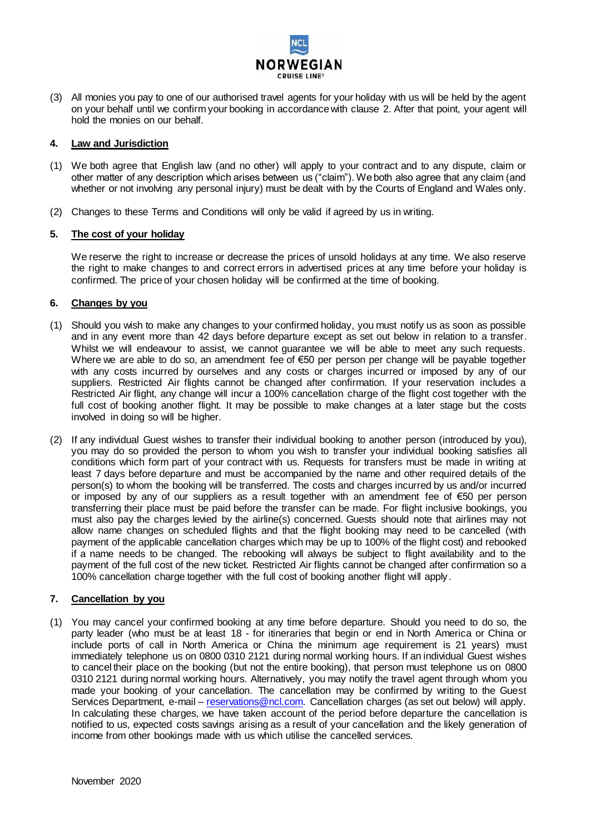

(3) All monies you pay to one of our authorised travel agents for your holiday with us will be held by the agent on your behalf until we confirm your booking in accordance with clause 2. After that point, your agent will hold the monies on our behalf.

## **4. Law and Jurisdiction**

- (1) We both agree that English law (and no other) will apply to your contract and to any dispute, claim or other matter of any description which arises between us ("claim"). We both also agree that any claim (and whether or not involving any personal injury) must be dealt with by the Courts of England and Wales only.
- (2) Changes to these Terms and Conditions will only be valid if agreed by us in writing.

## **5. The cost of your holiday**

We reserve the right to increase or decrease the prices of unsold holidays at any time. We also reserve the right to make changes to and correct errors in advertised prices at any time before your holiday is confirmed. The price of your chosen holiday will be confirmed at the time of booking.

## **6. Changes by you**

- (1) Should you wish to make any changes to your confirmed holiday, you must notify us as soon as possible and in any event more than 42 days before departure except as set out below in relation to a transfer. Whilst we will endeavour to assist, we cannot guarantee we will be able to meet any such requests. Where we are able to do so, an amendment fee of €50 per person per change will be payable together with any costs incurred by ourselves and any costs or charges incurred or imposed by any of our suppliers. Restricted Air flights cannot be changed after confirmation. If your reservation includes a Restricted Air flight, any change will incur a 100% cancellation charge of the flight cost together with the full cost of booking another flight. It may be possible to make changes at a later stage but the costs involved in doing so will be higher.
- (2) If any individual Guest wishes to transfer their individual booking to another person (introduced by you), you may do so provided the person to whom you wish to transfer your individual booking satisfies all conditions which form part of your contract with us. Requests for transfers must be made in writing at least 7 days before departure and must be accompanied by the name and other required details of the person(s) to whom the booking will be transferred. The costs and charges incurred by us and/or incurred or imposed by any of our suppliers as a result together with an amendment fee of €50 per person transferring their place must be paid before the transfer can be made. For flight inclusive bookings, you must also pay the charges levied by the airline(s) concerned. Guests should note that airlines may not allow name changes on scheduled flights and that the flight booking may need to be cancelled (with payment of the applicable cancellation charges which may be up to 100% of the flight cost) and rebooked if a name needs to be changed. The rebooking will always be subject to flight availability and to the payment of the full cost of the new ticket. Restricted Air flights cannot be changed after confirmation so a 100% cancellation charge together with the full cost of booking another flight will apply.

## **7. Cancellation by you**

(1) You may cancel your confirmed booking at any time before departure. Should you need to do so, the party leader (who must be at least 18 - for itineraries that begin or end in North America or China or include ports of call in North America or China the minimum age requirement is 21 years) must immediately telephone us on 0800 0310 2121 during normal working hours. If an individual Guest wishes to cancel their place on the booking (but not the entire booking), that person must telephone us on 0800 0310 2121 during normal working hours. Alternatively, you may notify the travel agent through whom you made your booking of your cancellation. The cancellation may be confirmed by writing to the Guest Services Department, e-mail – [reservations@ncl.com.](mailto:reservations@ncl.com) Cancellation charges (as set out below) will apply. In calculating these charges, we have taken account of the period before departure the cancellation is notified to us, expected costs savings arising as a result of your cancellation and the likely generation of income from other bookings made with us which utilise the cancelled services.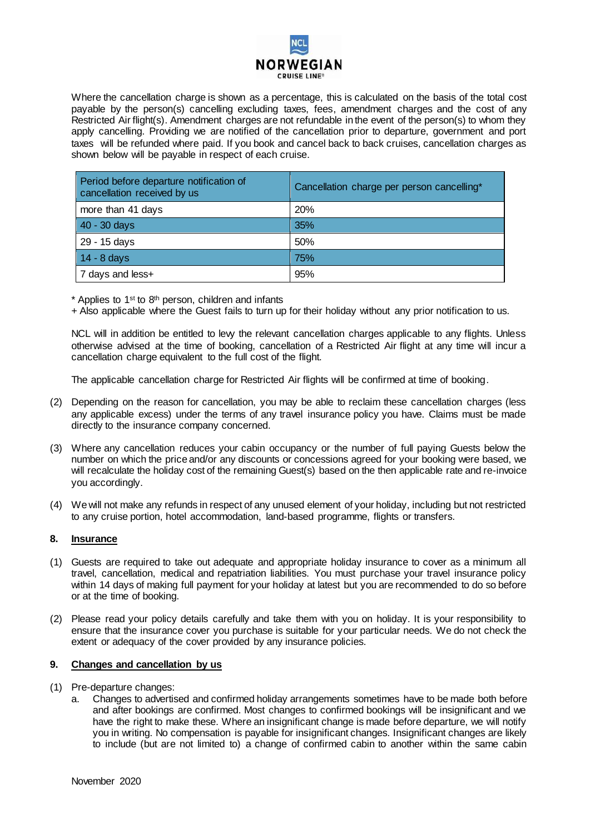

Where the cancellation charge is shown as a percentage, this is calculated on the basis of the total cost payable by the person(s) cancelling excluding taxes, fees, amendment charges and the cost of any Restricted Air flight(s). Amendment charges are not refundable in the event of the person(s) to whom they apply cancelling. Providing we are notified of the cancellation prior to departure, government and port taxes will be refunded where paid. If you book and cancel back to back cruises, cancellation charges as shown below will be payable in respect of each cruise.

| Period before departure notification of<br>cancellation received by us | Cancellation charge per person cancelling* |
|------------------------------------------------------------------------|--------------------------------------------|
| more than 41 days                                                      | 20%                                        |
| 40 - 30 days                                                           | 35%                                        |
| 29 - 15 days                                                           | 50%                                        |
| $14 - 8$ days                                                          | 75%                                        |
| 7 days and less+                                                       | 95%                                        |

 $*$  Applies to 1<sup>st</sup> to 8<sup>th</sup> person, children and infants

+ Also applicable where the Guest fails to turn up for their holiday without any prior notification to us.

NCL will in addition be entitled to levy the relevant cancellation charges applicable to any flights. Unless otherwise advised at the time of booking, cancellation of a Restricted Air flight at any time will incur a cancellation charge equivalent to the full cost of the flight.

The applicable cancellation charge for Restricted Air flights will be confirmed at time of booking.

- (2) Depending on the reason for cancellation, you may be able to reclaim these cancellation charges (less any applicable excess) under the terms of any travel insurance policy you have. Claims must be made directly to the insurance company concerned.
- (3) Where any cancellation reduces your cabin occupancy or the number of full paying Guests below the number on which the price and/or any discounts or concessions agreed for your booking were based, we will recalculate the holiday cost of the remaining Guest(s) based on the then applicable rate and re-invoice you accordingly.
- (4) We will not make any refunds in respect of any unused element of your holiday, including but not restricted to any cruise portion, hotel accommodation, land-based programme, flights or transfers.

## **8. Insurance**

- (1) Guests are required to take out adequate and appropriate holiday insurance to cover as a minimum all travel, cancellation, medical and repatriation liabilities. You must purchase your travel insurance policy within 14 days of making full payment for your holiday at latest but you are recommended to do so before or at the time of booking.
- (2) Please read your policy details carefully and take them with you on holiday. It is your responsibility to ensure that the insurance cover you purchase is suitable for your particular needs. We do not check the extent or adequacy of the cover provided by any insurance policies.

### **9. Changes and cancellation by us**

- (1) Pre-departure changes:
	- a. Changes to advertised and confirmed holiday arrangements sometimes have to be made both before and after bookings are confirmed. Most changes to confirmed bookings will be insignificant and we have the right to make these. Where an insignificant change is made before departure, we will notify you in writing. No compensation is payable for insignificant changes. Insignificant changes are likely to include (but are not limited to) a change of confirmed cabin to another within the same cabin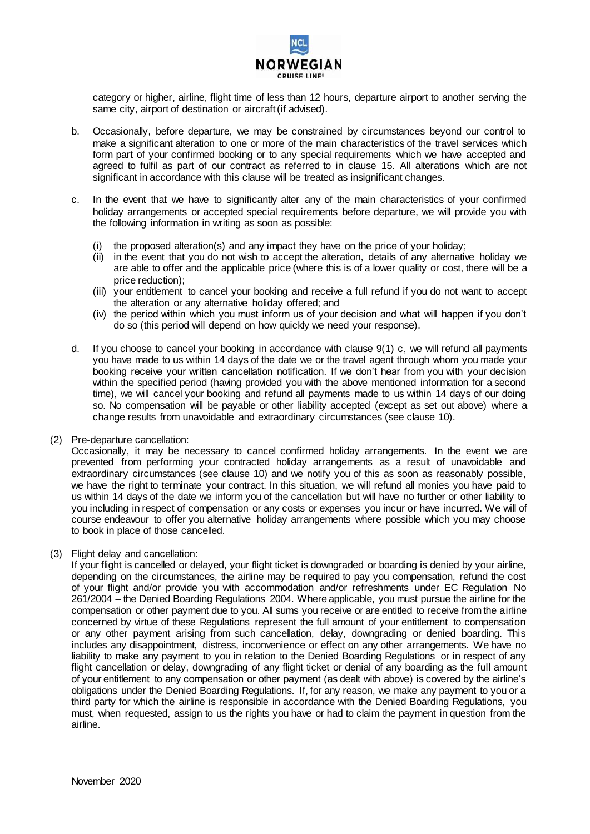

category or higher, airline, flight time of less than 12 hours, departure airport to another serving the same city, airport of destination or aircraft (if advised).

- b. Occasionally, before departure, we may be constrained by circumstances beyond our control to make a significant alteration to one or more of the main characteristics of the travel services which form part of your confirmed booking or to any special requirements which we have accepted and agreed to fulfil as part of our contract as referred to in clause 15. All alterations which are not significant in accordance with this clause will be treated as insignificant changes.
- c. In the event that we have to significantly alter any of the main characteristics of your confirmed holiday arrangements or accepted special requirements before departure, we will provide you with the following information in writing as soon as possible:
	- the proposed alteration(s) and any impact they have on the price of your holiday;
	- (ii) in the event that you do not wish to accept the alteration, details of any alternative holiday we are able to offer and the applicable price (where this is of a lower quality or cost, there will be a price reduction);
	- (iii) your entitlement to cancel your booking and receive a full refund if you do not want to accept the alteration or any alternative holiday offered; and
	- (iv) the period within which you must inform us of your decision and what will happen if you don't do so (this period will depend on how quickly we need your response).
- d. If you choose to cancel your booking in accordance with clause 9(1) c, we will refund all payments you have made to us within 14 days of the date we or the travel agent through whom you made your booking receive your written cancellation notification. If we don't hear from you with your decision within the specified period (having provided you with the above mentioned information for a second time), we will cancel your booking and refund all payments made to us within 14 days of our doing so. No compensation will be payable or other liability accepted (except as set out above) where a change results from unavoidable and extraordinary circumstances (see clause 10).
- (2) Pre-departure cancellation:

Occasionally, it may be necessary to cancel confirmed holiday arrangements. In the event we are prevented from performing your contracted holiday arrangements as a result of unavoidable and extraordinary circumstances (see clause 10) and we notify you of this as soon as reasonably possible, we have the right to terminate your contract. In this situation, we will refund all monies you have paid to us within 14 days of the date we inform you of the cancellation but will have no further or other liability to you including in respect of compensation or any costs or expenses you incur or have incurred. We will of course endeavour to offer you alternative holiday arrangements where possible which you may choose to book in place of those cancelled.

(3) Flight delay and cancellation:

If your flight is cancelled or delayed, your flight ticket is downgraded or boarding is denied by your airline, depending on the circumstances, the airline may be required to pay you compensation, refund the cost of your flight and/or provide you with accommodation and/or refreshments under EC Regulation No 261/2004 – the Denied Boarding Regulations 2004. Where applicable, you must pursue the airline for the compensation or other payment due to you. All sums you receive or are entitled to receive from the airline concerned by virtue of these Regulations represent the full amount of your entitlement to compensation or any other payment arising from such cancellation, delay, downgrading or denied boarding. This includes any disappointment, distress, inconvenience or effect on any other arrangements. We have no liability to make any payment to you in relation to the Denied Boarding Regulations or in respect of any flight cancellation or delay, downgrading of any flight ticket or denial of any boarding as the full amount of your entitlement to any compensation or other payment (as dealt with above) is covered by the airline's obligations under the Denied Boarding Regulations. If, for any reason, we make any payment to you or a third party for which the airline is responsible in accordance with the Denied Boarding Regulations, you must, when requested, assign to us the rights you have or had to claim the payment in question from the airline.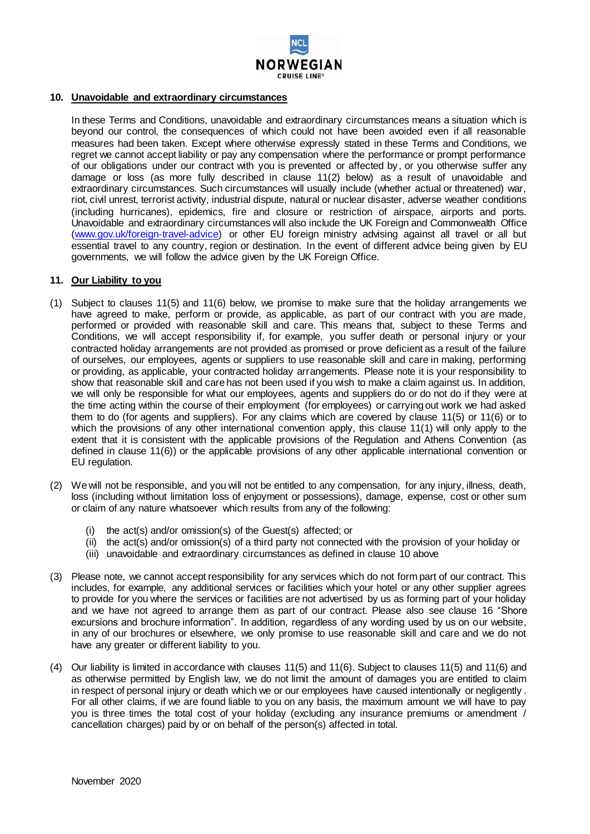

## **10. Unavoidable and extraordinary circumstances**

In these Terms and Conditions, unavoidable and extraordinary circumstances means a situation which is beyond our control, the consequences of which could not have been avoided even if all reasonable measures had been taken. Except where otherwise expressly stated in these Terms and Conditions, we regret we cannot accept liability or pay any compensation where the performance or prompt performance of our obligations under our contract with you is prevented or affected by, or you otherwise suffer any damage or loss (as more fully described in clause 11(2) below) as a result of unavoidable and extraordinary circumstances. Such circumstances will usually include (whether actual or threatened) war, riot, civil unrest, terrorist activity, industrial dispute, natural or nuclear disaster, adverse weather conditions (including hurricanes), epidemics, fire and closure or restriction of airspace, airports and ports. Unavoidable and extraordinary circumstances will also include the UK Foreign and Commonwealth Office [\(www.gov.uk/foreign-travel-advice\)](http://www.gov.uk/foreign-travel-advice) or other EU foreign ministry advising against all travel or all but essential travel to any country, region or destination. In the event of different advice being given by EU governments, we will follow the advice given by the UK Foreign Office.

### **11. Our Liability to you**

- (1) Subject to clauses 11(5) and 11(6) below, we promise to make sure that the holiday arrangements we have agreed to make, perform or provide, as applicable, as part of our contract with you are made, performed or provided with reasonable skill and care. This means that, subject to these Terms and Conditions, we will accept responsibility if, for example, you suffer death or personal injury or your contracted holiday arrangements are not provided as promised or prove deficient as a result of the failure of ourselves, our employees, agents or suppliers to use reasonable skill and care in making, performing or providing, as applicable, your contracted holiday arrangements. Please note it is your responsibility to show that reasonable skill and care has not been used if you wish to make a claim against us. In addition, we will only be responsible for what our employees, agents and suppliers do or do not do if they were at the time acting within the course of their employment (for employees) or carrying out work we had asked them to do (for agents and suppliers). For any claims which are covered by clause 11(5) or 11(6) or to which the provisions of any other international convention apply, this clause 11(1) will only apply to the extent that it is consistent with the applicable provisions of the Regulation and Athens Convention (as defined in clause 11(6)) or the applicable provisions of any other applicable international convention or EU regulation.
- (2) We will not be responsible, and you will not be entitled to any compensation, for any injury, illness, death, loss (including without limitation loss of enjoyment or possessions), damage, expense, cost or other sum or claim of any nature whatsoever which results from any of the following:
	- (i) the act(s) and/or omission(s) of the Guest(s) affected; or
	- (ii) the act(s) and/or omission(s) of a third party not connected with the provision of your holiday or
	- (iii) unavoidable and extraordinary circumstances as defined in clause 10 above
- (3) Please note, we cannot accept responsibility for any services which do not form part of our contract. This includes, for example, any additional services or facilities which your hotel or any other supplier agrees to provide for you where the services or facilities are not advertised by us as forming part of your holiday and we have not agreed to arrange them as part of our contract. Please also see clause 16 "Shore excursions and brochure information". In addition, regardless of any wording used by us on our website, in any of our brochures or elsewhere, we only promise to use reasonable skill and care and we do not have any greater or different liability to you.
- (4) Our liability is limited in accordance with clauses 11(5) and 11(6). Subject to clauses 11(5) and 11(6) and as otherwise permitted by English law, we do not limit the amount of damages you are entitled to claim in respect of personal injury or death which we or our employees have caused intentionally or negligently. For all other claims, if we are found liable to you on any basis, the maximum amount we will have to pay you is three times the total cost of your holiday (excluding any insurance premiums or amendment / cancellation charges) paid by or on behalf of the person(s) affected in total.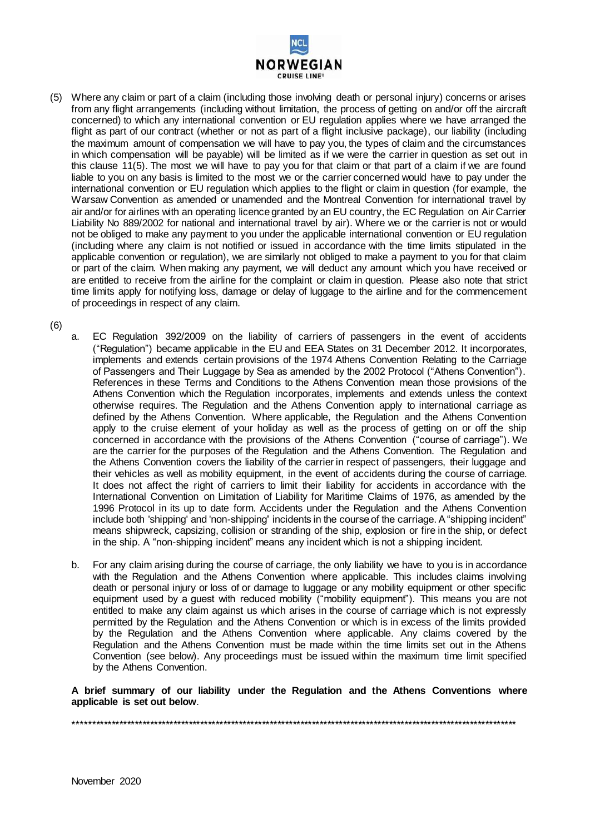

(5) Where any claim or part of a claim (including those involving death or personal injury) concerns or arises from any flight arrangements (including without limitation, the process of getting on and/or off the aircraft concerned) to which any international convention or EU regulation applies where we have arranged the flight as part of our contract (whether or not as part of a flight inclusive package), our liability (including the maximum amount of compensation we will have to pay you, the types of claim and the circumstances in which compensation will be payable) will be limited as if we were the carrier in question as set out in this clause 11(5). The most we will have to pay you for that claim or that part of a claim if we are found liable to you on any basis is limited to the most we or the carrier concerned would have to pay under the international convention or EU regulation which applies to the flight or claim in question (for example, the Warsaw Convention as amended or unamended and the Montreal Convention for international travel by air and/or for airlines with an operating licence granted by an EU country, the EC Regulation on Air Carrier Liability No 889/2002 for national and international travel by air). Where we or the carrier is not or would not be obliged to make any payment to you under the applicable international convention or EU regulation (including where any claim is not notified or issued in accordance with the time limits stipulated in the applicable convention or regulation), we are similarly not obliged to make a payment to you for that claim or part of the claim. When making any payment, we will deduct any amount which you have received or are entitled to receive from the airline for the complaint or claim in question. Please also note that strict time limits apply for notifying loss, damage or delay of luggage to the airline and for the commencement of proceedings in respect of any claim.

(6)

- a. EC Regulation 392/2009 on the liability of carriers of passengers in the event of accidents ("Regulation") became applicable in the EU and EEA States on 31 December 2012. It incorporates, implements and extends certain provisions of the 1974 Athens Convention Relating to the Carriage of Passengers and Their Luggage by Sea as amended by the 2002 Protocol ("Athens Convention"). References in these Terms and Conditions to the Athens Convention mean those provisions of the Athens Convention which the Regulation incorporates, implements and extends unless the context otherwise requires. The Regulation and the Athens Convention apply to international carriage as defined by the Athens Convention. Where applicable, the Regulation and the Athens Convention apply to the cruise element of your holiday as well as the process of getting on or off the ship concerned in accordance with the provisions of the Athens Convention ("course of carriage"). We are the carrier for the purposes of the Regulation and the Athens Convention. The Regulation and the Athens Convention covers the liability of the carrier in respect of passengers, their luggage and their vehicles as well as mobility equipment, in the event of accidents during the course of carriage. It does not affect the right of carriers to limit their liability for accidents in accordance with the International Convention on Limitation of Liability for Maritime Claims of 1976, as amended by the 1996 Protocol in its up to date form. Accidents under the Regulation and the Athens Convention include both 'shipping' and 'non-shipping' incidents in the course of the carriage. A "shipping incident" means shipwreck, capsizing, collision or stranding of the ship, explosion or fire in the ship, or defect in the ship. A "non-shipping incident" means any incident which is not a shipping incident.
- b. For any claim arising during the course of carriage, the only liability we have to you is in accordance with the Regulation and the Athens Convention where applicable. This includes claims involving death or personal injury or loss of or damage to luggage or any mobility equipment or other specific equipment used by a guest with reduced mobility ("mobility equipment"). This means you are not entitled to make any claim against us which arises in the course of carriage which is not expressly permitted by the Regulation and the Athens Convention or which is in excess of the limits provided by the Regulation and the Athens Convention where applicable. Any claims covered by the Regulation and the Athens Convention must be made within the time limits set out in the Athens Convention (see below). Any proceedings must be issued within the maximum time limit specified by the Athens Convention.

**A brief summary of our liability under the Regulation and the Athens Conventions where applicable is set out below**.

\*\*\*\*\*\*\*\*\*\*\*\*\*\*\*\*\*\*\*\*\*\*\*\*\*\*\*\*\*\*\*\*\*\*\*\*\*\*\*\*\*\*\*\*\*\*\*\*\*\*\*\*\*\*\*\*\*\*\*\*\*\*\*\*\*\*\*\*\*\*\*\*\*\*\*\*\*\*\*\*\*\*\*\*\*\*\*\*\*\*\*\*\*\*\*\*\*\*\*\*\*\*\*\*\*\*\*\*\*\*\*\*\*\*\*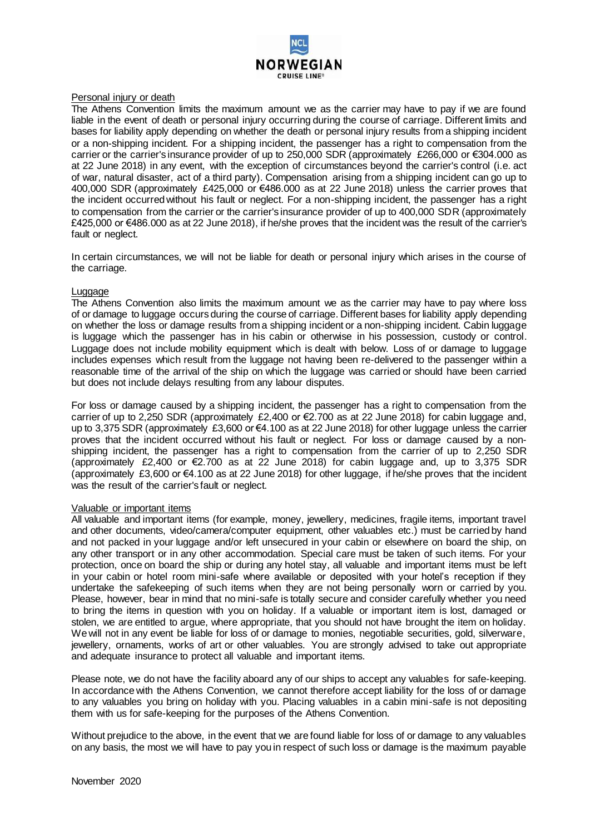

### Personal injury or death

The Athens Convention limits the maximum amount we as the carrier may have to pay if we are found liable in the event of death or personal injury occurring during the course of carriage. Different limits and bases for liability apply depending on whether the death or personal injury results from a shipping incident or a non-shipping incident. For a shipping incident, the passenger has a right to compensation from the carrier or the carrier's insurance provider of up to 250,000 SDR (approximately £266,000 or €304.000 as at 22 June 2018) in any event, with the exception of circumstances beyond the carrier's control (i.e. act of war, natural disaster, act of a third party). Compensation arising from a shipping incident can go up to 400,000 SDR (approximately £425,000 or €486.000 as at 22 June 2018) unless the carrier proves that the incident occurred without his fault or neglect. For a non-shipping incident, the passenger has a right to compensation from the carrier or the carrier's insurance provider of up to 400,000 SDR (approximately £425,000 or €486.000 as at 22 June 2018), if he/she proves that the incident was the result of the carrier's fault or neglect.

In certain circumstances, we will not be liable for death or personal injury which arises in the course of the carriage.

### Luggage

The Athens Convention also limits the maximum amount we as the carrier may have to pay where loss of or damage to luggage occurs during the course of carriage. Different bases for liability apply depending on whether the loss or damage results from a shipping incident or a non-shipping incident. Cabin luggage is luggage which the passenger has in his cabin or otherwise in his possession, custody or control. Luggage does not include mobility equipment which is dealt with below. Loss of or damage to luggage includes expenses which result from the luggage not having been re-delivered to the passenger within a reasonable time of the arrival of the ship on which the luggage was carried or should have been carried but does not include delays resulting from any labour disputes.

For loss or damage caused by a shipping incident, the passenger has a right to compensation from the carrier of up to 2,250 SDR (approximately £2,400 or €2.700 as at 22 June 2018) for cabin luggage and, up to 3,375 SDR (approximately £3,600 or €4.100 as at 22 June 2018) for other luggage unless the carrier proves that the incident occurred without his fault or neglect. For loss or damage caused by a nonshipping incident, the passenger has a right to compensation from the carrier of up to 2,250 SDR (approximately £2,400 or €2.700 as at 22 June 2018) for cabin luggage and, up to 3,375 SDR (approximately £3,600 or €4.100 as at 22 June 2018) for other luggage, if he/she proves that the incident was the result of the carrier's fault or neglect.

#### Valuable or important items

All valuable and important items (for example, money, jewellery, medicines, fragile items, important travel and other documents, video/camera/computer equipment, other valuables etc.) must be carried by hand and not packed in your luggage and/or left unsecured in your cabin or elsewhere on board the ship, on any other transport or in any other accommodation. Special care must be taken of such items. For your protection, once on board the ship or during any hotel stay, all valuable and important items must be left in your cabin or hotel room mini-safe where available or deposited with your hotel's reception if they undertake the safekeeping of such items when they are not being personally worn or carried by you. Please, however, bear in mind that no mini-safe is totally secure and consider carefully whether you need to bring the items in question with you on holiday. If a valuable or important item is lost, damaged or stolen, we are entitled to argue, where appropriate, that you should not have brought the item on holiday. We will not in any event be liable for loss of or damage to monies, negotiable securities, gold, silverware, jewellery, ornaments, works of art or other valuables. You are strongly advised to take out appropriate and adequate insurance to protect all valuable and important items.

Please note, we do not have the facility aboard any of our ships to accept any valuables for safe-keeping. In accordance with the Athens Convention, we cannot therefore accept liability for the loss of or damage to any valuables you bring on holiday with you. Placing valuables in a cabin mini-safe is not depositing them with us for safe-keeping for the purposes of the Athens Convention.

Without prejudice to the above, in the event that we are found liable for loss of or damage to any valuables on any basis, the most we will have to pay you in respect of such loss or damage is the maximum payable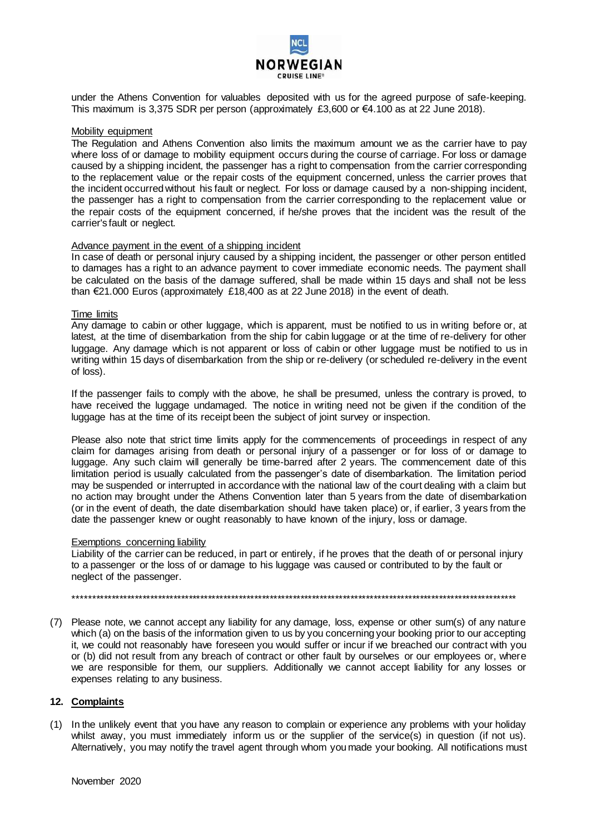

under the Athens Convention for valuables deposited with us for the agreed purpose of safe-keeping. This maximum is 3,375 SDR per person (approximately £3,600 or €4.100 as at 22 June 2018).

#### Mobility equipment

The Regulation and Athens Convention also limits the maximum amount we as the carrier have to pay where loss of or damage to mobility equipment occurs during the course of carriage. For loss or damage caused by a shipping incident, the passenger has a right to compensation from the carrier corresponding to the replacement value or the repair costs of the equipment concerned, unless the carrier proves that the incident occurred without his fault or neglect. For loss or damage caused by a non-shipping incident, the passenger has a right to compensation from the carrier corresponding to the replacement value or the repair costs of the equipment concerned, if he/she proves that the incident was the result of the carrier's fault or neglect.

#### Advance payment in the event of a shipping incident

In case of death or personal injury caused by a shipping incident, the passenger or other person entitled to damages has a right to an advance payment to cover immediate economic needs. The payment shall be calculated on the basis of the damage suffered, shall be made within 15 days and shall not be less than €21.000 Euros (approximately £18,400 as at 22 June 2018) in the event of death.

### Time limits

Any damage to cabin or other luggage, which is apparent, must be notified to us in writing before or, at latest, at the time of disembarkation from the ship for cabin luggage or at the time of re-delivery for other luggage. Any damage which is not apparent or loss of cabin or other luggage must be notified to us in writing within 15 days of disembarkation from the ship or re-delivery (or scheduled re-delivery in the event of loss).

If the passenger fails to comply with the above, he shall be presumed, unless the contrary is proved, to have received the luggage undamaged. The notice in writing need not be given if the condition of the luggage has at the time of its receipt been the subject of joint survey or inspection.

Please also note that strict time limits apply for the commencements of proceedings in respect of any claim for damages arising from death or personal injury of a passenger or for loss of or damage to luggage. Any such claim will generally be time-barred after 2 years. The commencement date of this limitation period is usually calculated from the passenger's date of disembarkation. The limitation period may be suspended or interrupted in accordance with the national law of the court dealing with a claim but no action may brought under the Athens Convention later than 5 years from the date of disembarkation (or in the event of death, the date disembarkation should have taken place) or, if earlier, 3 years from the date the passenger knew or ought reasonably to have known of the injury, loss or damage.

### Exemptions concerning liability

Liability of the carrier can be reduced, in part or entirely, if he proves that the death of or personal injury to a passenger or the loss of or damage to his luggage was caused or contributed to by the fault or neglect of the passenger.

\*\*\*\*\*\*\*\*\*\*\*\*\*\*\*\*\*\*\*\*\*\*\*\*\*\*\*\*\*\*\*\*\*\*\*\*\*\*\*\*\*\*\*\*\*\*\*\*\*\*\*\*\*\*\*\*\*\*\*\*\*\*\*\*\*\*\*\*\*\*\*\*\*\*\*\*\*\*\*\*\*\*\*\*\*\*\*\*\*\*\*\*\*\*\*\*\*\*\*\*\*\*\*\*\*\*\*\*\*\*\*\*\*\*\*

(7) Please note, we cannot accept any liability for any damage, loss, expense or other sum(s) of any nature which (a) on the basis of the information given to us by you concerning your booking prior to our accepting it, we could not reasonably have foreseen you would suffer or incur if we breached our contract with you or (b) did not result from any breach of contract or other fault by ourselves or our employees or, where we are responsible for them, our suppliers. Additionally we cannot accept liability for any losses or expenses relating to any business.

## **12. Complaints**

(1) In the unlikely event that you have any reason to complain or experience any problems with your holiday whilst away, you must immediately inform us or the supplier of the service(s) in question (if not us). Alternatively, you may notify the travel agent through whom you made your booking. All notifications must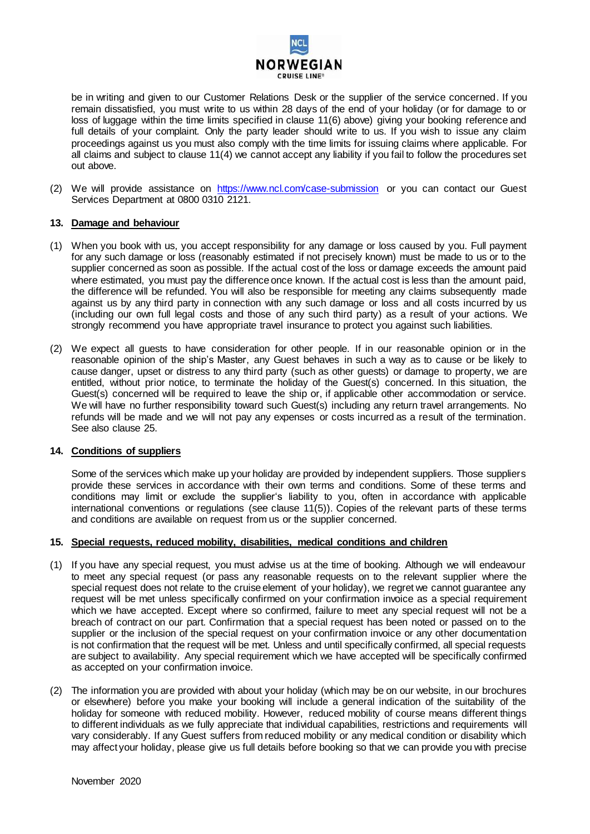

be in writing and given to our Customer Relations Desk or the supplier of the service concerned. If you remain dissatisfied, you must write to us within 28 days of the end of your holiday (or for damage to or loss of luggage within the time limits specified in clause 11(6) above) giving your booking reference and full details of your complaint. Only the party leader should write to us. If you wish to issue any claim proceedings against us you must also comply with the time limits for issuing claims where applicable. For all claims and subject to clause 11(4) we cannot accept any liability if you fail to follow the procedures set out above.

(2) We will provide assistance on <https://www.ncl.com/case-submission> or you can contact our Guest Services Department at 0800 0310 2121.

## **13. Damage and behaviour**

- (1) When you book with us, you accept responsibility for any damage or loss caused by you. Full payment for any such damage or loss (reasonably estimated if not precisely known) must be made to us or to the supplier concerned as soon as possible. If the actual cost of the loss or damage exceeds the amount paid where estimated, you must pay the difference once known. If the actual cost is less than the amount paid, the difference will be refunded. You will also be responsible for meeting any claims subsequently made against us by any third party in connection with any such damage or loss and all costs incurred by us (including our own full legal costs and those of any such third party) as a result of your actions. We strongly recommend you have appropriate travel insurance to protect you against such liabilities.
- (2) We expect all guests to have consideration for other people. If in our reasonable opinion or in the reasonable opinion of the ship's Master, any Guest behaves in such a way as to cause or be likely to cause danger, upset or distress to any third party (such as other guests) or damage to property, we are entitled, without prior notice, to terminate the holiday of the Guest(s) concerned. In this situation, the Guest(s) concerned will be required to leave the ship or, if applicable other accommodation or service. We will have no further responsibility toward such Guest(s) including any return travel arrangements. No refunds will be made and we will not pay any expenses or costs incurred as a result of the termination. See also clause 25.

## **14. Conditions of suppliers**

Some of the services which make up your holiday are provided by independent suppliers. Those suppliers provide these services in accordance with their own terms and conditions. Some of these terms and conditions may limit or exclude the supplier's liability to you, often in accordance with applicable international conventions or regulations (see clause 11(5)). Copies of the relevant parts of these terms and conditions are available on request from us or the supplier concerned.

## **15. Special requests, reduced mobility, disabilities, medical conditions and children**

- (1) If you have any special request, you must advise us at the time of booking. Although we will endeavour to meet any special request (or pass any reasonable requests on to the relevant supplier where the special request does not relate to the cruise element of your holiday), we regret we cannot guarantee any request will be met unless specifically confirmed on your confirmation invoice as a special requirement which we have accepted. Except where so confirmed, failure to meet any special request will not be a breach of contract on our part. Confirmation that a special request has been noted or passed on to the supplier or the inclusion of the special request on your confirmation invoice or any other documentation is not confirmation that the request will be met. Unless and until specifically confirmed, all special requests are subject to availability. Any special requirement which we have accepted will be specifically confirmed as accepted on your confirmation invoice.
- (2) The information you are provided with about your holiday (which may be on our website, in our brochures or elsewhere) before you make your booking will include a general indication of the suitability of the holiday for someone with reduced mobility. However, reduced mobility of course means different things to different individuals as we fully appreciate that individual capabilities, restrictions and requirements will vary considerably. If any Guest suffers from reduced mobility or any medical condition or disability which may affect your holiday, please give us full details before booking so that we can provide you with precise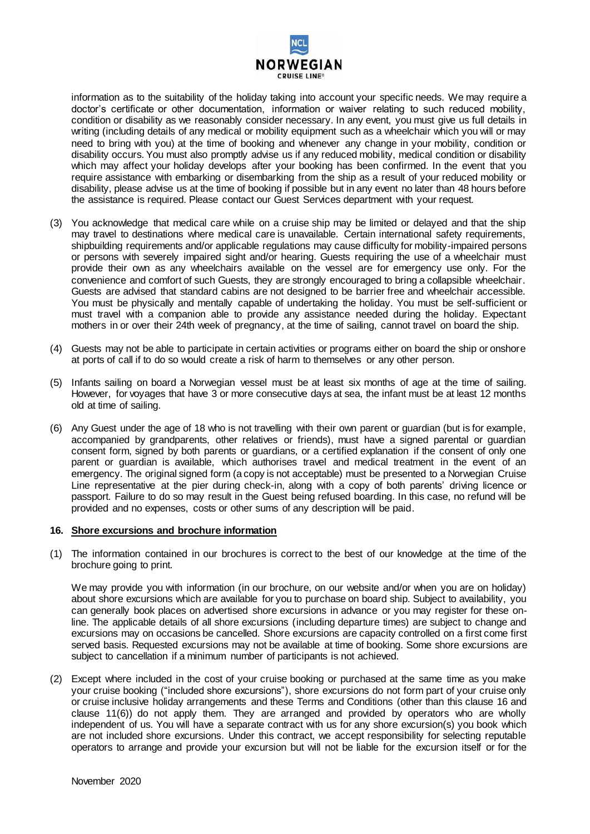

information as to the suitability of the holiday taking into account your specific needs. We may require a doctor's certificate or other documentation, information or waiver relating to such reduced mobility, condition or disability as we reasonably consider necessary. In any event, you must give us full details in writing (including details of any medical or mobility equipment such as a wheelchair which you will or may need to bring with you) at the time of booking and whenever any change in your mobility, condition or disability occurs. You must also promptly advise us if any reduced mobility, medical condition or disability which may affect your holiday develops after your booking has been confirmed. In the event that you require assistance with embarking or disembarking from the ship as a result of your reduced mobility or disability, please advise us at the time of booking if possible but in any event no later than 48 hours before the assistance is required. Please contact our Guest Services department with your request.

- (3) You acknowledge that medical care while on a cruise ship may be limited or delayed and that the ship may travel to destinations where medical care is unavailable. Certain international safety requirements, shipbuilding requirements and/or applicable regulations may cause difficulty for mobility-impaired persons or persons with severely impaired sight and/or hearing. Guests requiring the use of a wheelchair must provide their own as any wheelchairs available on the vessel are for emergency use only. For the convenience and comfort of such Guests, they are strongly encouraged to bring a collapsible wheelchair. Guests are advised that standard cabins are not designed to be barrier free and wheelchair accessible. You must be physically and mentally capable of undertaking the holiday. You must be self-sufficient or must travel with a companion able to provide any assistance needed during the holiday. Expectant mothers in or over their 24th week of pregnancy, at the time of sailing, cannot travel on board the ship.
- (4) Guests may not be able to participate in certain activities or programs either on board the ship or onshore at ports of call if to do so would create a risk of harm to themselves or any other person.
- (5) Infants sailing on board a Norwegian vessel must be at least six months of age at the time of sailing. However, for voyages that have 3 or more consecutive days at sea, the infant must be at least 12 months old at time of sailing.
- (6) Any Guest under the age of 18 who is not travelling with their own parent or guardian (but is for example, accompanied by grandparents, other relatives or friends), must have a signed parental or guardian consent form, signed by both parents or guardians, or a certified explanation if the consent of only one parent or guardian is available, which authorises travel and medical treatment in the event of an emergency. The original signed form (a copy is not acceptable) must be presented to a Norwegian Cruise Line representative at the pier during check-in, along with a copy of both parents' driving licence or passport. Failure to do so may result in the Guest being refused boarding. In this case, no refund will be provided and no expenses, costs or other sums of any description will be paid.

#### **16. Shore excursions and brochure information**

(1) The information contained in our brochures is correct to the best of our knowledge at the time of the brochure going to print.

We may provide you with information (in our brochure, on our website and/or when you are on holiday) about shore excursions which are available for you to purchase on board ship. Subject to availability, you can generally book places on advertised shore excursions in advance or you may register for these online. The applicable details of all shore excursions (including departure times) are subject to change and excursions may on occasions be cancelled. Shore excursions are capacity controlled on a first come first served basis. Requested excursions may not be available at time of booking. Some shore excursions are subject to cancellation if a minimum number of participants is not achieved.

(2) Except where included in the cost of your cruise booking or purchased at the same time as you make your cruise booking ("included shore excursions"), shore excursions do not form part of your cruise only or cruise inclusive holiday arrangements and these Terms and Conditions (other than this clause 16 and clause 11(6)) do not apply them. They are arranged and provided by operators who are wholly independent of us. You will have a separate contract with us for any shore excursion(s) you book which are not included shore excursions. Under this contract, we accept responsibility for selecting reputable operators to arrange and provide your excursion but will not be liable for the excursion itself or for the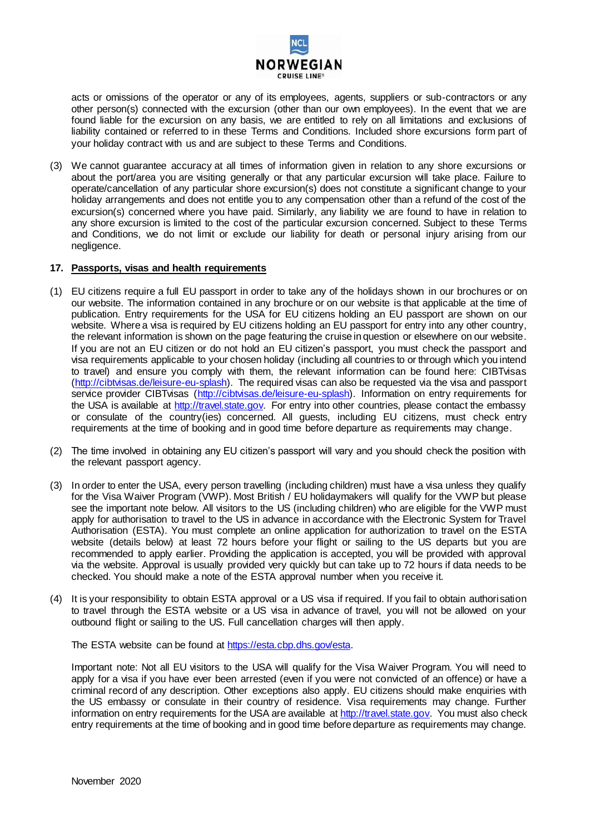

acts or omissions of the operator or any of its employees, agents, suppliers or sub-contractors or any other person(s) connected with the excursion (other than our own employees). In the event that we are found liable for the excursion on any basis, we are entitled to rely on all limitations and exclusions of liability contained or referred to in these Terms and Conditions. Included shore excursions form part of your holiday contract with us and are subject to these Terms and Conditions.

(3) We cannot guarantee accuracy at all times of information given in relation to any shore excursions or about the port/area you are visiting generally or that any particular excursion will take place. Failure to operate/cancellation of any particular shore excursion(s) does not constitute a significant change to your holiday arrangements and does not entitle you to any compensation other than a refund of the cost of the excursion(s) concerned where you have paid. Similarly, any liability we are found to have in relation to any shore excursion is limited to the cost of the particular excursion concerned. Subject to these Terms and Conditions, we do not limit or exclude our liability for death or personal injury arising from our negligence.

### **17. Passports, visas and health requirements**

- (1) EU citizens require a full EU passport in order to take any of the holidays shown in our brochures or on our website. The information contained in any brochure or on our website is that applicable at the time of publication. Entry requirements for the USA for EU citizens holding an EU passport are shown on our website. Where a visa is required by EU citizens holding an EU passport for entry into any other country, the relevant information is shown on the page featuring the cruise in question or elsewhere on our website. If you are not an EU citizen or do not hold an EU citizen's passport, you must check the passport and visa requirements applicable to your chosen holiday (including all countries to or through which you intend to travel) and ensure you comply with them, the relevant information can be found here: CIBTvisas [\(http://cibtvisas.de/leisure-eu-splash\).](http://cibtvisas.de/leisure-eu-splash) The required visas can also be requested via the visa and passport service provider CIBTvisas [\(http://cibtvisas.de/leisure-eu-splash\).](http://cibtvisas.de/leisure-eu-splash) Information on entry requirements for the USA is available at [http://travel.state.gov.](http://travel.state.gov/) For entry into other countries, please contact the embassy or consulate of the country(ies) concerned. All guests, including EU citizens, must check entry requirements at the time of booking and in good time before departure as requirements may change.
- (2) The time involved in obtaining any EU citizen's passport will vary and you should check the position with the relevant passport agency.
- (3) In order to enter the USA, every person travelling (including children) must have a visa unless they qualify for the Visa Waiver Program (VWP). Most British / EU holidaymakers will qualify for the VWP but please see the important note below. All visitors to the US (including children) who are eligible for the VWP must apply for authorisation to travel to the US in advance in accordance with the Electronic System for Travel Authorisation (ESTA). You must complete an online application for authorization to travel on the ESTA website (details below) at least 72 hours before your flight or sailing to the US departs but you are recommended to apply earlier. Providing the application is accepted, you will be provided with approval via the website. Approval is usually provided very quickly but can take up to 72 hours if data needs to be checked. You should make a note of the ESTA approval number when you receive it.
- (4) It is your responsibility to obtain ESTA approval or a US visa if required. If you fail to obtain authorisation to travel through the ESTA website or a US visa in advance of travel, you will not be allowed on your outbound flight or sailing to the US. Full cancellation charges will then apply.

The ESTA website can be found at https://esta.cbp.dhs.gov/esta.

Important note: Not all EU visitors to the USA will qualify for the Visa Waiver Program. You will need to apply for a visa if you have ever been arrested (even if you were not convicted of an offence) or have a criminal record of any description. Other exceptions also apply. EU citizens should make enquiries with the US embassy or consulate in their country of residence. Visa requirements may change. Further information on entry requirements for the USA are available at [http://travel.state.gov.](http://travel.state.gov/) You must also check entry requirements at the time of booking and in good time before departure as requirements may change.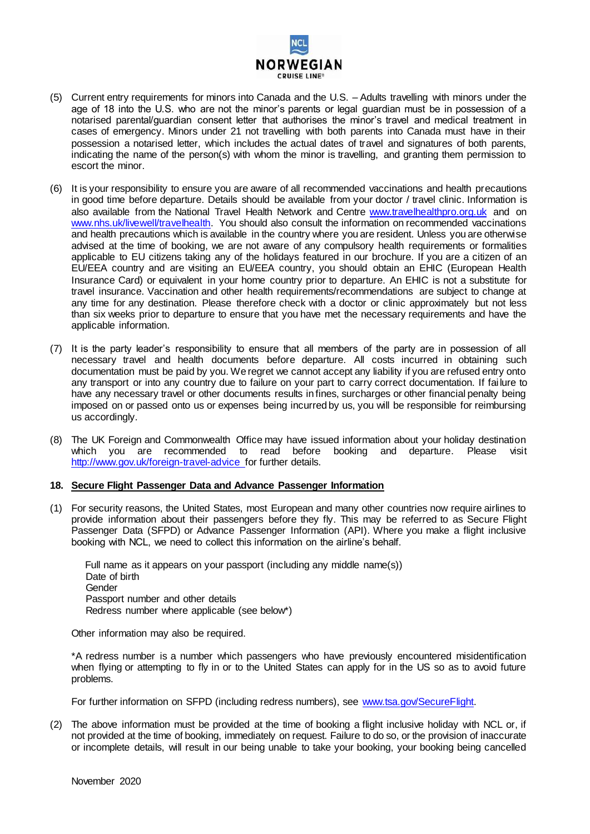

- (5) Current entry requirements for minors into Canada and the U.S. Adults travelling with minors under the age of 18 into the U.S. who are not the minor's parents or legal guardian must be in possession of a notarised parental/guardian consent letter that authorises the minor's travel and medical treatment in cases of emergency. Minors under 21 not travelling with both parents into Canada must have in their possession a notarised letter, which includes the actual dates of travel and signatures of both parents, indicating the name of the person(s) with whom the minor is travelling, and granting them permission to escort the minor.
- (6) It is your responsibility to ensure you are aware of all recommended vaccinations and health precautions in good time before departure. Details should be available from your doctor / travel clinic. Information is also available from the National Travel Health Network and Centre [www.travelhealthpro.org.uk](http://www.travelhealthpro.org.uk/) and on [www.nhs.uk/livewell/travelhealth.](http://www.nhs.uk/livewell/travelhealth) You should also consult the information on recommended vaccinations and health precautions which is available in the country where you are resident. Unless you are otherwise advised at the time of booking, we are not aware of any compulsory health requirements or formalities applicable to EU citizens taking any of the holidays featured in our brochure. If you are a citizen of an EU/EEA country and are visiting an EU/EEA country, you should obtain an EHIC (European Health Insurance Card) or equivalent in your home country prior to departure. An EHIC is not a substitute for travel insurance. Vaccination and other health requirements/recommendations are subject to change at any time for any destination. Please therefore check with a doctor or clinic approximately but not less than six weeks prior to departure to ensure that you have met the necessary requirements and have the applicable information.
- (7) It is the party leader's responsibility to ensure that all members of the party are in possession of all necessary travel and health documents before departure. All costs incurred in obtaining such documentation must be paid by you. We regret we cannot accept any liability if you are refused entry onto any transport or into any country due to failure on your part to carry correct documentation. If fai lure to have any necessary travel or other documents results in fines, surcharges or other financial penalty being imposed on or passed onto us or expenses being incurred by us, you will be responsible for reimbursing us accordingly.
- (8) The UK Foreign and Commonwealth Office may have issued information about your holiday destination which you are recommended to read before booking and departure. Please visit <http://www.gov.uk/foreign-travel-advice> for further details.

#### **18. Secure Flight Passenger Data and Advance Passenger Information**

(1) For security reasons, the United States, most European and many other countries now require airlines to provide information about their passengers before they fly. This may be referred to as Secure Flight Passenger Data (SFPD) or Advance Passenger Information (API). Where you make a flight inclusive booking with NCL, we need to collect this information on the airline's behalf.

 Full name as it appears on your passport (including any middle name(s)) Date of birth Gender Passport number and other details Redress number where applicable (see below\*)

Other information may also be required.

\*A redress number is a number which passengers who have previously encountered misidentification when flying or attempting to fly in or to the United States can apply for in the US so as to avoid future problems.

For further information on SFPD (including redress numbers), see [www.tsa.gov/SecureFlight.](http://www.tsa.gov/SecureFlight) 

(2) The above information must be provided at the time of booking a flight inclusive holiday with NCL or, if not provided at the time of booking, immediately on request. Failure to do so, or the provision of inaccurate or incomplete details, will result in our being unable to take your booking, your booking being cancelled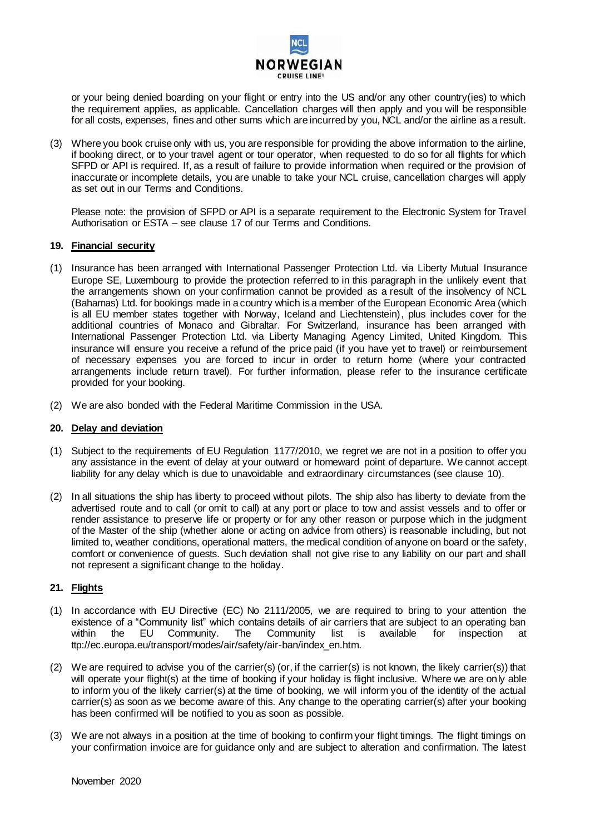

or your being denied boarding on your flight or entry into the US and/or any other country(ies) to which the requirement applies, as applicable. Cancellation charges will then apply and you will be responsible for all costs, expenses, fines and other sums which are incurred by you, NCL and/or the airline as a result.

(3) Where you book cruise only with us, you are responsible for providing the above information to the airline, if booking direct, or to your travel agent or tour operator, when requested to do so for all flights for which SFPD or API is required. If, as a result of failure to provide information when required or the provision of inaccurate or incomplete details, you are unable to take your NCL cruise, cancellation charges will apply as set out in our Terms and Conditions.

Please note: the provision of SFPD or API is a separate requirement to the Electronic System for Travel Authorisation or ESTA – see clause 17 of our Terms and Conditions.

## **19. Financial security**

- (1) Insurance has been arranged with International Passenger Protection Ltd. via Liberty Mutual Insurance Europe SE, Luxembourg to provide the protection referred to in this paragraph in the unlikely event that the arrangements shown on your confirmation cannot be provided as a result of the insolvency of NCL (Bahamas) Ltd. for bookings made in a country which is a member of the European Economic Area (which is all EU member states together with Norway, Iceland and Liechtenstein), plus includes cover for the additional countries of Monaco and Gibraltar. For Switzerland, insurance has been arranged with International Passenger Protection Ltd. via Liberty Managing Agency Limited, United Kingdom. This insurance will ensure you receive a refund of the price paid (if you have yet to travel) or reimbursement of necessary expenses you are forced to incur in order to return home (where your contracted arrangements include return travel). For further information, please refer to the insurance certificate provided for your booking.
- (2) We are also bonded with the Federal Maritime Commission in the USA.

## **20. Delay and deviation**

- (1) Subject to the requirements of EU Regulation 1177/2010, we regret we are not in a position to offer you any assistance in the event of delay at your outward or homeward point of departure. We cannot accept liability for any delay which is due to unavoidable and extraordinary circumstances (see clause 10).
- (2) In all situations the ship has liberty to proceed without pilots. The ship also has liberty to deviate from the advertised route and to call (or omit to call) at any port or place to tow and assist vessels and to offer or render assistance to preserve life or property or for any other reason or purpose which in the judgment of the Master of the ship (whether alone or acting on advice from others) is reasonable including, but not limited to, weather conditions, operational matters, the medical condition of anyone on board or the safety, comfort or convenience of guests. Such deviation shall not give rise to any liability on our part and shall not represent a significant change to the holiday.

## **21. Flights**

- (1) In accordance with EU Directive (EC) No 2111/2005, we are required to bring to your attention the existence of a "Community list" which contains details of air carriers that are subject to an operating ban within the EU Community. The Community list is available for inspection ttp://ec.europa.eu/transport/modes/air/safety/air-ban/index\_en.htm.
- (2) We are required to advise you of the carrier(s) (or, if the carrier(s) is not known, the likely carrier(s)) that will operate your flight(s) at the time of booking if your holiday is flight inclusive. Where we are only able to inform you of the likely carrier(s) at the time of booking, we will inform you of the identity of the actual carrier(s) as soon as we become aware of this. Any change to the operating carrier(s) after your booking has been confirmed will be notified to you as soon as possible.
- (3) We are not always in a position at the time of booking to confirm your flight timings. The flight timings on your confirmation invoice are for guidance only and are subject to alteration and confirmation. The latest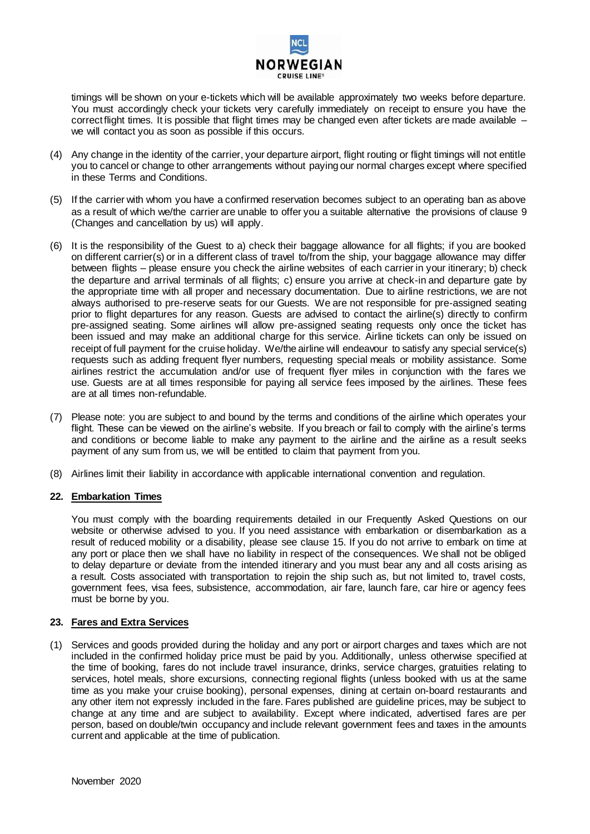

timings will be shown on your e-tickets which will be available approximately two weeks before departure. You must accordingly check your tickets very carefully immediately on receipt to ensure you have the correct flight times. It is possible that flight times may be changed even after tickets are made available – we will contact you as soon as possible if this occurs.

- (4) Any change in the identity of the carrier, your departure airport, flight routing or flight timings will not entitle you to cancel or change to other arrangements without paying our normal charges except where specified in these Terms and Conditions.
- (5) If the carrier with whom you have a confirmed reservation becomes subject to an operating ban as above as a result of which we/the carrier are unable to offer you a suitable alternative the provisions of clause 9 (Changes and cancellation by us) will apply.
- (6) It is the responsibility of the Guest to a) check their baggage allowance for all flights; if you are booked on different carrier(s) or in a different class of travel to/from the ship, your baggage allowance may differ between flights – please ensure you check the airline websites of each carrier in your itinerary; b) check the departure and arrival terminals of all flights; c) ensure you arrive at check-in and departure gate by the appropriate time with all proper and necessary documentation. Due to airline restrictions, we are not always authorised to pre-reserve seats for our Guests. We are not responsible for pre-assigned seating prior to flight departures for any reason. Guests are advised to contact the airline(s) directly to confirm pre-assigned seating. Some airlines will allow pre-assigned seating requests only once the ticket has been issued and may make an additional charge for this service. Airline tickets can only be issued on receipt of full payment for the cruise holiday. We/the airline will endeavour to satisfy any special service(s) requests such as adding frequent flyer numbers, requesting special meals or mobility assistance. Some airlines restrict the accumulation and/or use of frequent flyer miles in conjunction with the fares we use. Guests are at all times responsible for paying all service fees imposed by the airlines. These fees are at all times non-refundable.
- (7) Please note: you are subject to and bound by the terms and conditions of the airline which operates your flight. These can be viewed on the airline's website. If you breach or fail to comply with the airline's terms and conditions or become liable to make any payment to the airline and the airline as a result seeks payment of any sum from us, we will be entitled to claim that payment from you.
- (8) Airlines limit their liability in accordance with applicable international convention and regulation.

## **22. Embarkation Times**

You must comply with the boarding requirements detailed in our Frequently Asked Questions on our website or otherwise advised to you. If you need assistance with embarkation or disembarkation as a result of reduced mobility or a disability, please see clause 15. If you do not arrive to embark on time at any port or place then we shall have no liability in respect of the consequences. We shall not be obliged to delay departure or deviate from the intended itinerary and you must bear any and all costs arising as a result. Costs associated with transportation to rejoin the ship such as, but not limited to, travel costs, government fees, visa fees, subsistence, accommodation, air fare, launch fare, car hire or agency fees must be borne by you.

## **23. Fares and Extra Services**

(1) Services and goods provided during the holiday and any port or airport charges and taxes which are not included in the confirmed holiday price must be paid by you. Additionally, unless otherwise specified at the time of booking, fares do not include travel insurance, drinks, service charges, gratuities relating to services, hotel meals, shore excursions, connecting regional flights (unless booked with us at the same time as you make your cruise booking), personal expenses, dining at certain on-board restaurants and any other item not expressly included in the fare. Fares published are guideline prices, may be subject to change at any time and are subject to availability. Except where indicated, advertised fares are per person, based on double/twin occupancy and include relevant government fees and taxes in the amounts current and applicable at the time of publication.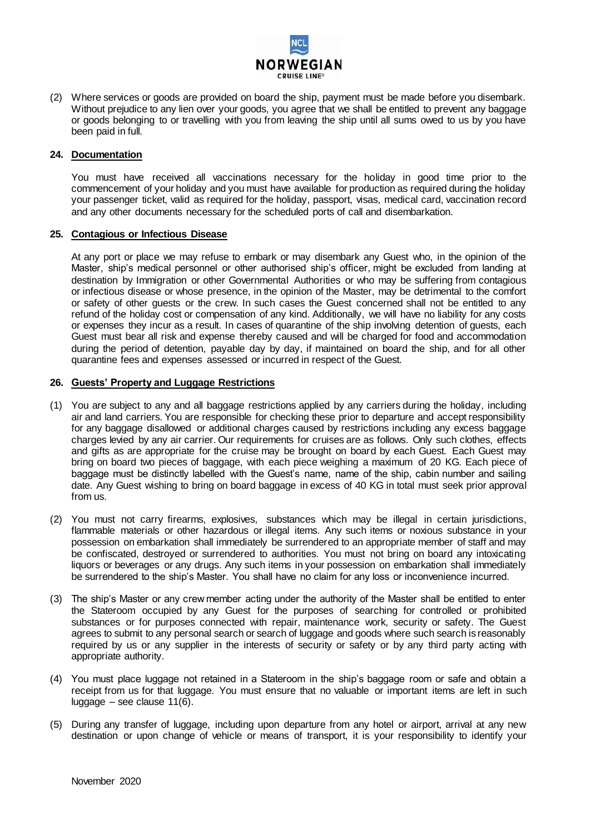

(2) Where services or goods are provided on board the ship, payment must be made before you disembark. Without prejudice to any lien over your goods, you agree that we shall be entitled to prevent any baggage or goods belonging to or travelling with you from leaving the ship until all sums owed to us by you have been paid in full.

## **24. Documentation**

You must have received all vaccinations necessary for the holiday in good time prior to the commencement of your holiday and you must have available for production as required during the holiday your passenger ticket, valid as required for the holiday, passport, visas, medical card, vaccination record and any other documents necessary for the scheduled ports of call and disembarkation.

## **25. Contagious or Infectious Disease**

At any port or place we may refuse to embark or may disembark any Guest who, in the opinion of the Master, ship's medical personnel or other authorised ship's officer, might be excluded from landing at destination by Immigration or other Governmental Authorities or who may be suffering from contagious or infectious disease or whose presence, in the opinion of the Master, may be detrimental to the comfort or safety of other guests or the crew. In such cases the Guest concerned shall not be entitled to any refund of the holiday cost or compensation of any kind. Additionally, we will have no liability for any costs or expenses they incur as a result. In cases of quarantine of the ship involving detention of guests, each Guest must bear all risk and expense thereby caused and will be charged for food and accommodation during the period of detention, payable day by day, if maintained on board the ship, and for all other quarantine fees and expenses assessed or incurred in respect of the Guest.

## **26. Guests' Property and Luggage Restrictions**

- (1) You are subject to any and all baggage restrictions applied by any carriers during the holiday, including air and land carriers. You are responsible for checking these prior to departure and accept responsibility for any baggage disallowed or additional charges caused by restrictions including any excess baggage charges levied by any air carrier. Our requirements for cruises are as follows. Only such clothes, effects and gifts as are appropriate for the cruise may be brought on board by each Guest. Each Guest may bring on board two pieces of baggage, with each piece weighing a maximum of 20 KG. Each piece of baggage must be distinctly labelled with the Guest's name, name of the ship, cabin number and sailing date. Any Guest wishing to bring on board baggage in excess of 40 KG in total must seek prior approval from us.
- (2) You must not carry firearms, explosives, substances which may be illegal in certain jurisdictions, flammable materials or other hazardous or illegal items. Any such items or noxious substance in your possession on embarkation shall immediately be surrendered to an appropriate member of staff and may be confiscated, destroyed or surrendered to authorities. You must not bring on board any intoxicating liquors or beverages or any drugs. Any such items in your possession on embarkation shall immediately be surrendered to the ship's Master. You shall have no claim for any loss or inconvenience incurred.
- (3) The ship's Master or any crew member acting under the authority of the Master shall be entitled to enter the Stateroom occupied by any Guest for the purposes of searching for controlled or prohibited substances or for purposes connected with repair, maintenance work, security or safety. The Guest agrees to submit to any personal search or search of luggage and goods where such search is reasonably required by us or any supplier in the interests of security or safety or by any third party acting with appropriate authority.
- (4) You must place luggage not retained in a Stateroom in the ship's baggage room or safe and obtain a receipt from us for that luggage. You must ensure that no valuable or important items are left in such luggage – see clause 11(6).
- (5) During any transfer of luggage, including upon departure from any hotel or airport, arrival at any new destination or upon change of vehicle or means of transport, it is your responsibility to identify your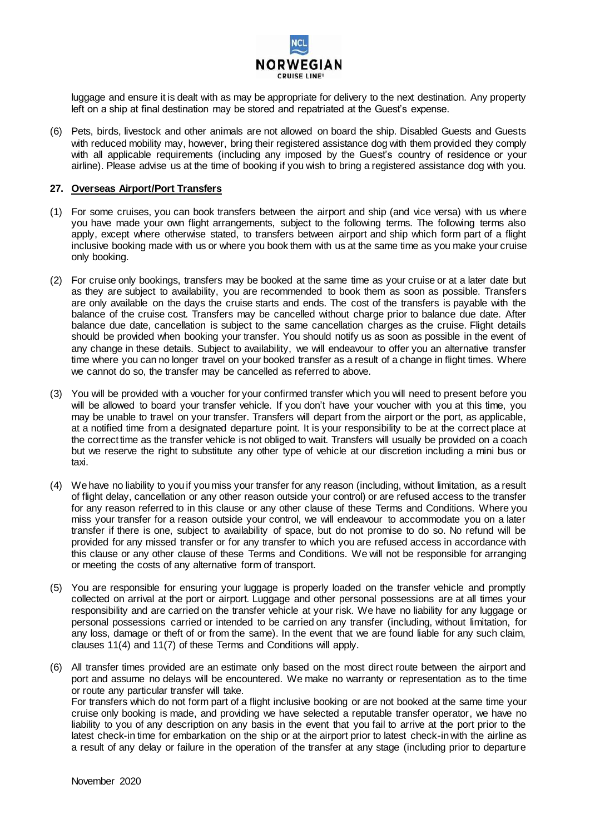

luggage and ensure it is dealt with as may be appropriate for delivery to the next destination. Any property left on a ship at final destination may be stored and repatriated at the Guest's expense.

(6) Pets, birds, livestock and other animals are not allowed on board the ship. Disabled Guests and Guests with reduced mobility may, however, bring their registered assistance dog with them provided they comply with all applicable requirements (including any imposed by the Guest's country of residence or your airline). Please advise us at the time of booking if you wish to bring a registered assistance dog with you.

## **27. Overseas Airport/Port Transfers**

- (1) For some cruises, you can book transfers between the airport and ship (and vice versa) with us where you have made your own flight arrangements, subject to the following terms. The following terms also apply, except where otherwise stated, to transfers between airport and ship which form part of a flight inclusive booking made with us or where you book them with us at the same time as you make your cruise only booking.
- (2) For cruise only bookings, transfers may be booked at the same time as your cruise or at a later date but as they are subject to availability, you are recommended to book them as soon as possible. Transfers are only available on the days the cruise starts and ends. The cost of the transfers is payable with the balance of the cruise cost. Transfers may be cancelled without charge prior to balance due date. After balance due date, cancellation is subject to the same cancellation charges as the cruise. Flight details should be provided when booking your transfer. You should notify us as soon as possible in the event of any change in these details. Subject to availability, we will endeavour to offer you an alternative transfer time where you can no longer travel on your booked transfer as a result of a change in flight times. Where we cannot do so, the transfer may be cancelled as referred to above.
- (3) You will be provided with a voucher for your confirmed transfer which you will need to present before you will be allowed to board your transfer vehicle. If you don't have your voucher with you at this time, you may be unable to travel on your transfer. Transfers will depart from the airport or the port, as applicable, at a notified time from a designated departure point. It is your responsibility to be at the correct place at the correct time as the transfer vehicle is not obliged to wait. Transfers will usually be provided on a coach but we reserve the right to substitute any other type of vehicle at our discretion including a mini bus or taxi.
- (4) We have no liability to you if you miss your transfer for any reason (including, without limitation, as a result of flight delay, cancellation or any other reason outside your control) or are refused access to the transfer for any reason referred to in this clause or any other clause of these Terms and Conditions. Where you miss your transfer for a reason outside your control, we will endeavour to accommodate you on a later transfer if there is one, subject to availability of space, but do not promise to do so. No refund will be provided for any missed transfer or for any transfer to which you are refused access in accordance with this clause or any other clause of these Terms and Conditions. We will not be responsible for arranging or meeting the costs of any alternative form of transport.
- (5) You are responsible for ensuring your luggage is properly loaded on the transfer vehicle and promptly collected on arrival at the port or airport. Luggage and other personal possessions are at all times your responsibility and are carried on the transfer vehicle at your risk. We have no liability for any luggage or personal possessions carried or intended to be carried on any transfer (including, without limitation, for any loss, damage or theft of or from the same). In the event that we are found liable for any such claim, clauses 11(4) and 11(7) of these Terms and Conditions will apply.
- (6) All transfer times provided are an estimate only based on the most direct route between the airport and port and assume no delays will be encountered. We make no warranty or representation as to the time or route any particular transfer will take.

For transfers which do not form part of a flight inclusive booking or are not booked at the same time your cruise only booking is made, and providing we have selected a reputable transfer operator, we have no liability to you of any description on any basis in the event that you fail to arrive at the port prior to the latest check-in time for embarkation on the ship or at the airport prior to latest check-in with the airline as a result of any delay or failure in the operation of the transfer at any stage (including prior to departure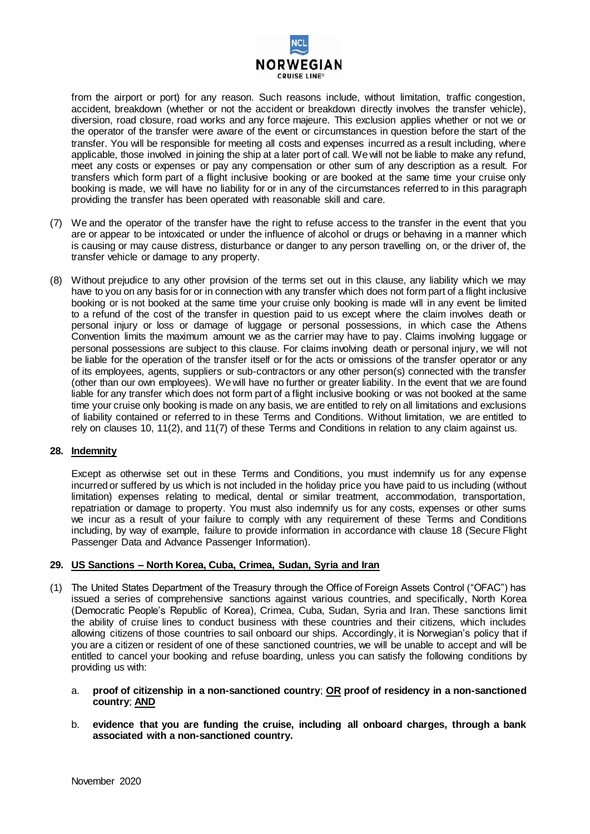

from the airport or port) for any reason. Such reasons include, without limitation, traffic congestion, accident, breakdown (whether or not the accident or breakdown directly involves the transfer vehicle), diversion, road closure, road works and any force majeure. This exclusion applies whether or not we or the operator of the transfer were aware of the event or circumstances in question before the start of the transfer. You will be responsible for meeting all costs and expenses incurred as a result including, where applicable, those involved in joining the ship at a later port of call. We will not be liable to make any refund, meet any costs or expenses or pay any compensation or other sum of any description as a result. For transfers which form part of a flight inclusive booking or are booked at the same time your cruise only booking is made, we will have no liability for or in any of the circumstances referred to in this paragraph providing the transfer has been operated with reasonable skill and care.

- (7) We and the operator of the transfer have the right to refuse access to the transfer in the event that you are or appear to be intoxicated or under the influence of alcohol or drugs or behaving in a manner which is causing or may cause distress, disturbance or danger to any person travelling on, or the driver of, the transfer vehicle or damage to any property.
- (8) Without prejudice to any other provision of the terms set out in this clause, any liability which we may have to you on any basis for or in connection with any transfer which does not form part of a flight inclusive booking or is not booked at the same time your cruise only booking is made will in any event be limited to a refund of the cost of the transfer in question paid to us except where the claim involves death or personal injury or loss or damage of luggage or personal possessions, in which case the Athens Convention limits the maximum amount we as the carrier may have to pay. Claims involving luggage or personal possessions are subject to this clause. For claims involving death or personal injury, we will not be liable for the operation of the transfer itself or for the acts or omissions of the transfer operator or any of its employees, agents, suppliers or sub-contractors or any other person(s) connected with the transfer (other than our own employees). We will have no further or greater liability. In the event that we are found liable for any transfer which does not form part of a flight inclusive booking or was not booked at the same time your cruise only booking is made on any basis, we are entitled to rely on all limitations and exclusions of liability contained or referred to in these Terms and Conditions. Without limitation, we are entitled to rely on clauses 10, 11(2), and 11(7) of these Terms and Conditions in relation to any claim against us.

## **28. Indemnity**

Except as otherwise set out in these Terms and Conditions, you must indemnify us for any expense incurred or suffered by us which is not included in the holiday price you have paid to us including (without limitation) expenses relating to medical, dental or similar treatment, accommodation, transportation, repatriation or damage to property. You must also indemnify us for any costs, expenses or other sums we incur as a result of your failure to comply with any requirement of these Terms and Conditions including, by way of example, failure to provide information in accordance with clause 18 (Secure Flight Passenger Data and Advance Passenger Information).

## **29. US Sanctions – North Korea, Cuba, Crimea, Sudan, Syria and Iran**

- (1) The United States Department of the Treasury through the Office of Foreign Assets Control ("OFAC") has issued a series of comprehensive sanctions against various countries, and specifically, North Korea (Democratic People's Republic of Korea), Crimea, Cuba, Sudan, Syria and Iran. These sanctions limit the ability of cruise lines to conduct business with these countries and their citizens, which includes allowing citizens of those countries to sail onboard our ships. Accordingly, it is Norwegian's policy that if you are a citizen or resident of one of these sanctioned countries, we will be unable to accept and will be entitled to cancel your booking and refuse boarding, unless you can satisfy the following conditions by providing us with:
	- a. **proof of citizenship in a non-sanctioned country**; **OR proof of residency in a non-sanctioned country**; **AND**
	- b. **evidence that you are funding the cruise, including all onboard charges, through a bank associated with a non-sanctioned country.**